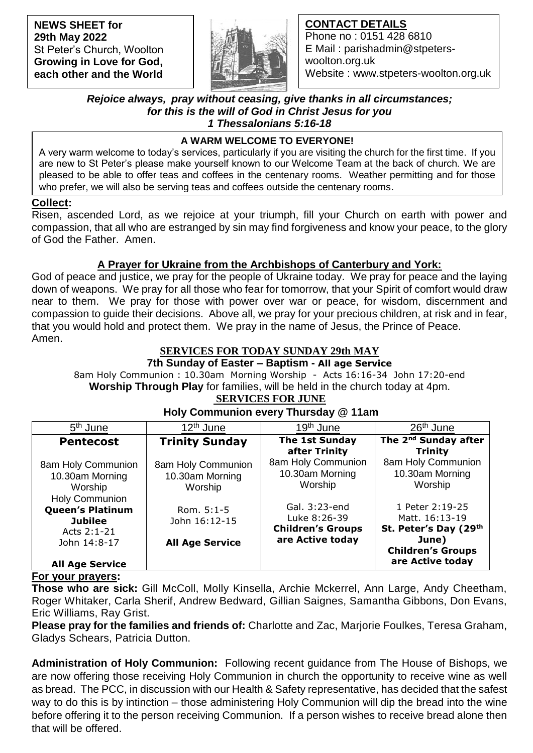**NEWS SHEET for 29th May 2022** St Peter's Church, Woolton **Growing in Love for God, each other and the World**



## **CONTACT DETAILS**

Phone no : 0151 428 6810 E Mail : parishadmin@stpeterswoolton.org.uk Website : www.stpeters-woolton.org.uk

### *Rejoice always, pray without ceasing, give thanks in all circumstances; for this is the will of God in Christ Jesus for you 1 Thessalonians 5:16-18*

## **A WARM WELCOME TO EVERYONE!**

 who prefer, we will also be serving teas and coffees outside the centenary rooms. A very warm welcome to today's services, particularly if you are visiting the church for the first time. If you are new to St Peter's please make yourself known to our Welcome Team at the back of church. We are pleased to be able to offer teas and coffees in the centenary rooms. Weather permitting and for those

### **Collect:**

Risen, ascended Lord, as we rejoice at your triumph, fill your Church on earth with power and compassion, that all who are estranged by sin may find forgiveness and know your peace, to the glory of God the Father. Amen.

## **A Prayer for Ukraine from the Archbishops of Canterbury and York:**

God of peace and justice, we pray for the people of Ukraine today. We pray for peace and the laying down of weapons. We pray for all those who fear for tomorrow, that your Spirit of comfort would draw near to them. We pray for those with power over war or peace, for wisdom, discernment and compassion to guide their decisions. Above all, we pray for your precious children, at risk and in fear, that you would hold and protect them. We pray in the name of Jesus, the Prince of Peace. Amen.

## **SERVICES FOR TODAY SUNDAY 29th MAY**

**7th Sunday of Easter – Baptism - All age Service**

8am Holy Communion : 10.30am Morning Worship - Acts 16:16-34 John 17:20-end **Worship Through Play** for families, will be held in the church today at 4pm. **SERVICES FOR JUNE**

#### 5<sup>th</sup> June <sup>th</sup> June | 12<sup>th</sup> June | <u>19<sup>th</sup> June</u> | <u>26<sup>th</sup> June</u> **Pentecost** 8am Holy Communion 10.30am Morning **Worship** Holy Communion **Queen's Platinum Jubilee** Acts 2:1-21 John 14:8-17 **All Age Service Trinity Sunday** 8am Holy Communion 10.30am Morning Worship Rom. 5:1-5 John 16:12-15 **All Age Service The 1st Sunday after Trinity** 8am Holy Communion 10.30am Morning Worship Gal. 3:23-end Luke 8:26-39 **Children's Groups are Active today The 2nd Sunday after Trinity** 8am Holy Communion 10.30am Morning Worship 1 Peter 2:19-25 Matt. 16:13-19 **St. Peter's Day (29th June) Children's Groups are Active today**

# **Holy Communion every Thursday @ 11am**

## **For your prayers:**

**Those who are sick:** Gill McColl, Molly Kinsella, Archie Mckerrel, Ann Large, Andy Cheetham, Roger Whitaker, Carla Sherif, Andrew Bedward, Gillian Saignes, Samantha Gibbons, Don Evans, Eric Williams, Ray Grist.

**Please pray for the families and friends of:** Charlotte and Zac, Marjorie Foulkes, Teresa Graham, Gladys Schears, Patricia Dutton.

**Administration of Holy Communion:** Following recent guidance from The House of Bishops, we are now offering those receiving Holy Communion in church the opportunity to receive wine as well as bread. The PCC, in discussion with our Health & Safety representative, has decided that the safest way to do this is by intinction – those administering Holy Communion will dip the bread into the wine before offering it to the person receiving Communion. If a person wishes to receive bread alone then that will be offered.